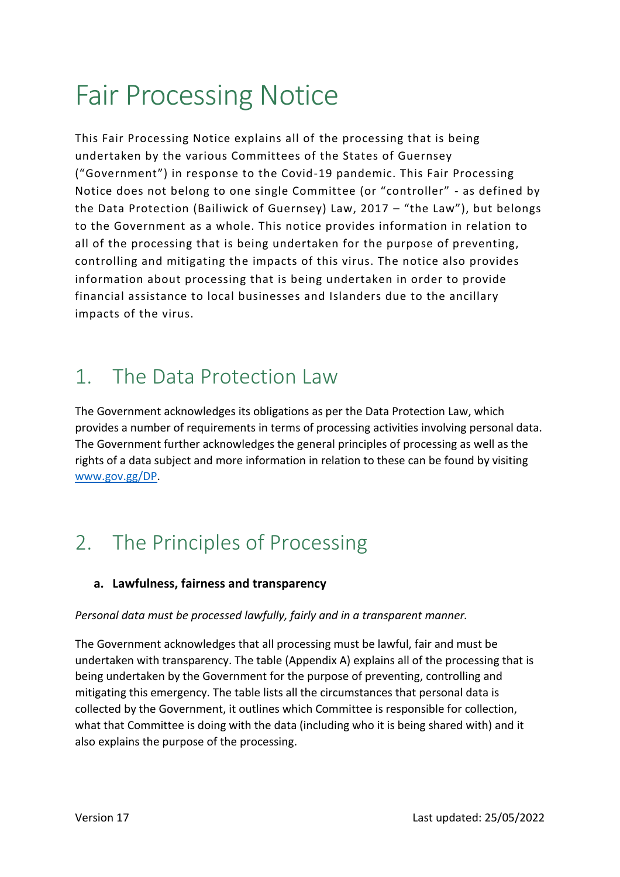# Fair Processing Notice

This Fair Processing Notice explains all of the processing that is being undertaken by the various Committees of the States of Guernsey ("Government") in response to the Covid-19 pandemic. This Fair Processing Notice does not belong to one single Committee (or "controller" - as defined by the Data Protection (Bailiwick of Guernsey) Law, 2017 – "the Law"), but belongs to the Government as a whole. This notice provides information in relation to all of the processing that is being undertaken for the purpose of preventing, controlling and mitigating the impacts of this virus. The notice also provides information about processing that is being undertaken in order to provide financial assistance to local businesses and Islanders due to the ancillary impacts of the virus.

### 1. The Data Protection Law

The Government acknowledges its obligations as per the Data Protection Law, which provides a number of requirements in terms of processing activities involving personal data. The Government further acknowledges the general principles of processing as well as the rights of a data subject and more information in relation to these can be found by visiting [www.gov.gg/DP.](http://www.gov.gg/DP)

### 2. The Principles of Processing

#### **a. Lawfulness, fairness and transparency**

#### *Personal data must be processed lawfully, fairly and in a transparent manner.*

The Government acknowledges that all processing must be lawful, fair and must be undertaken with transparency. The table (Appendix A) explains all of the processing that is being undertaken by the Government for the purpose of preventing, controlling and mitigating this emergency. The table lists all the circumstances that personal data is collected by the Government, it outlines which Committee is responsible for collection, what that Committee is doing with the data (including who it is being shared with) and it also explains the purpose of the processing.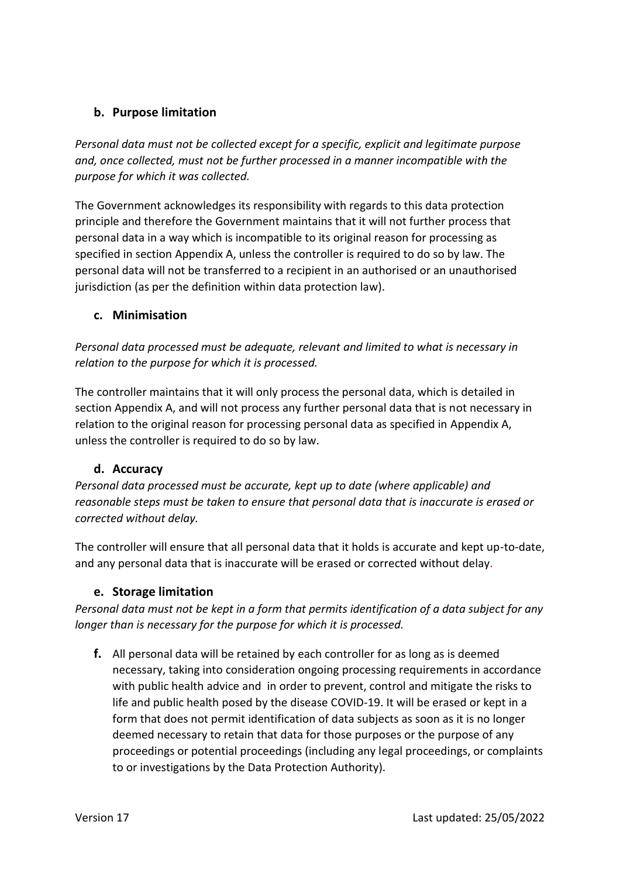#### **b. Purpose limitation**

*Personal data must not be collected except for a specific, explicit and legitimate purpose and, once collected, must not be further processed in a manner incompatible with the purpose for which it was collected.* 

The Government acknowledges its responsibility with regards to this data protection principle and therefore the Government maintains that it will not further process that personal data in a way which is incompatible to its original reason for processing as specified in section Appendix A, unless the controller is required to do so by law. The personal data will not be transferred to a recipient in an authorised or an unauthorised jurisdiction (as per the definition within data protection law).

#### **c. Minimisation**

*Personal data processed must be adequate, relevant and limited to what is necessary in relation to the purpose for which it is processed.* 

The controller maintains that it will only process the personal data, which is detailed in section Appendix A, and will not process any further personal data that is not necessary in relation to the original reason for processing personal data as specified in Appendix A, unless the controller is required to do so by law.

#### **d. Accuracy**

*Personal data processed must be accurate, kept up to date (where applicable) and reasonable steps must be taken to ensure that personal data that is inaccurate is erased or corrected without delay.* 

The controller will ensure that all personal data that it holds is accurate and kept up-to-date, and any personal data that is inaccurate will be erased or corrected without delay.

#### **e. Storage limitation**

*Personal data must not be kept in a form that permits identification of a data subject for any longer than is necessary for the purpose for which it is processed.* 

**f.** All personal data will be retained by each controller for as long as is deemed necessary, taking into consideration ongoing processing requirements in accordance with public health advice and in order to prevent, control and mitigate the risks to life and public health posed by the disease COVID-19. It will be erased or kept in a form that does not permit identification of data subjects as soon as it is no longer deemed necessary to retain that data for those purposes or the purpose of any proceedings or potential proceedings (including any legal proceedings, or complaints to or investigations by the Data Protection Authority).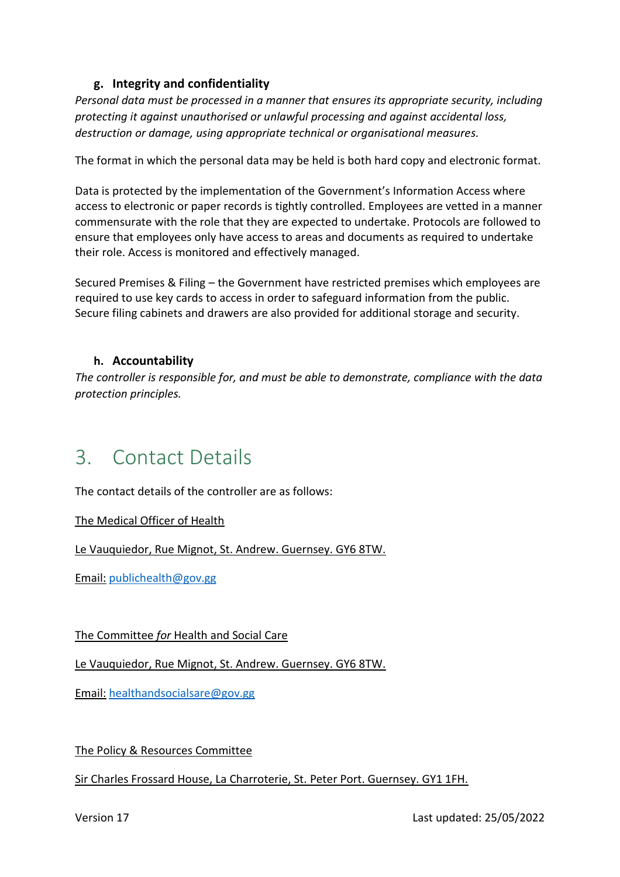#### **g. Integrity and confidentiality**

*Personal data must be processed in a manner that ensures its appropriate security, including protecting it against unauthorised or unlawful processing and against accidental loss, destruction or damage, using appropriate technical or organisational measures.* 

The format in which the personal data may be held is both hard copy and electronic format.

Data is protected by the implementation of the Government's Information Access where access to electronic or paper records is tightly controlled. Employees are vetted in a manner commensurate with the role that they are expected to undertake. Protocols are followed to ensure that employees only have access to areas and documents as required to undertake their role. Access is monitored and effectively managed.

Secured Premises & Filing – the Government have restricted premises which employees are required to use key cards to access in order to safeguard information from the public. Secure filing cabinets and drawers are also provided for additional storage and security.

#### **h. Accountability**

*The controller is responsible for, and must be able to demonstrate, compliance with the data protection principles.* 

### 3. Contact Details

The contact details of the controller are as follows:

The Medical Officer of Health

Le Vauquiedor, Rue Mignot, St. Andrew. Guernsey. GY6 8TW.

Email: [publichealth@gov.gg](mailto:publichealth@gov.gg)

The Committee *for* Health and Social Care

Le Vauquiedor, Rue Mignot, St. Andrew. Guernsey. GY6 8TW.

Email: [healthandsocialsare@gov.gg](mailto:healthandsocialsare@gov.gg)

The Policy & Resources Committee

#### Sir Charles Frossard House, La Charroterie, St. Peter Port. Guernsey. GY1 1FH.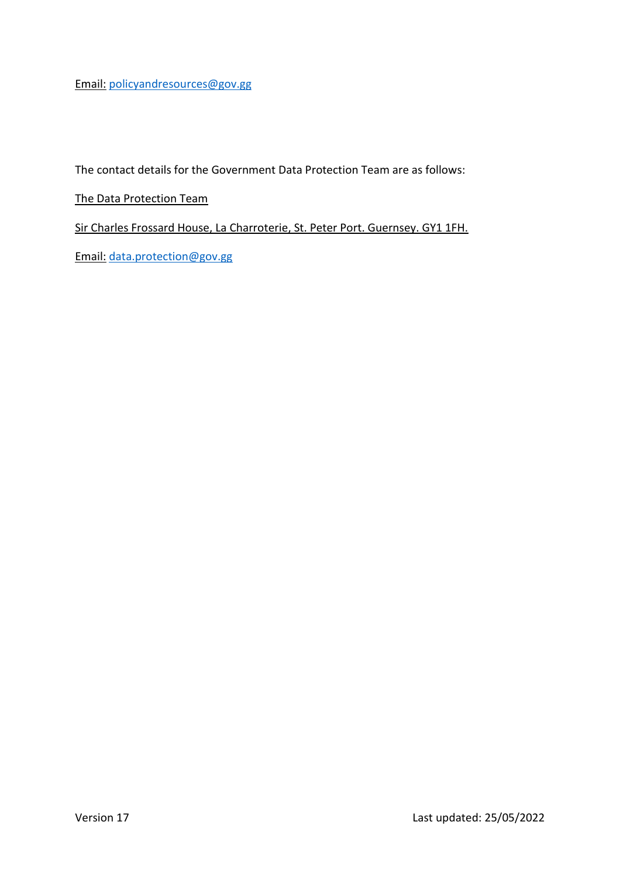Email: [policyandresources@gov.gg](mailto:policyandresources@gov.gg) 

The contact details for the Government Data Protection Team are as follows:

The Data Protection Team

Sir Charles Frossard House, La Charroterie, St. Peter Port. Guernsey. GY1 1FH.

Email: [data.protection@gov.gg](mailto:data.protection@gov.gg)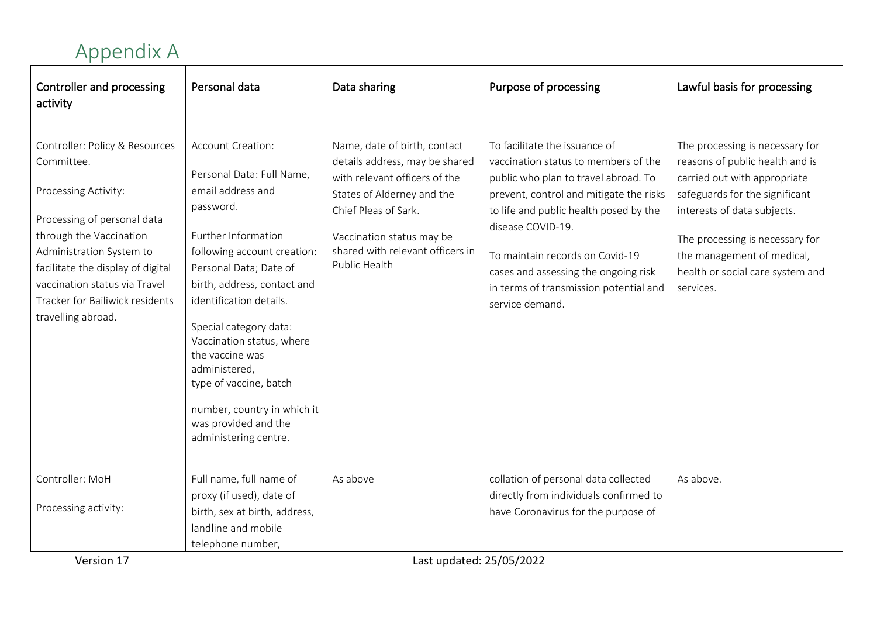## Appendix A

| Controller and processing<br>activity                                                                                                                                                                                                                                                     | Personal data                                                                                                                                                                                                                                                                                                                                                                                                                   | Data sharing                                                                                                                                                                                                                            | Purpose of processing                                                                                                                                                                                                                                                                                                                                           | Lawful basis for processing                                                                                                                                                                                                                                                           |
|-------------------------------------------------------------------------------------------------------------------------------------------------------------------------------------------------------------------------------------------------------------------------------------------|---------------------------------------------------------------------------------------------------------------------------------------------------------------------------------------------------------------------------------------------------------------------------------------------------------------------------------------------------------------------------------------------------------------------------------|-----------------------------------------------------------------------------------------------------------------------------------------------------------------------------------------------------------------------------------------|-----------------------------------------------------------------------------------------------------------------------------------------------------------------------------------------------------------------------------------------------------------------------------------------------------------------------------------------------------------------|---------------------------------------------------------------------------------------------------------------------------------------------------------------------------------------------------------------------------------------------------------------------------------------|
| Controller: Policy & Resources<br>Committee.<br>Processing Activity:<br>Processing of personal data<br>through the Vaccination<br>Administration System to<br>facilitate the display of digital<br>vaccination status via Travel<br>Tracker for Bailiwick residents<br>travelling abroad. | Account Creation:<br>Personal Data: Full Name,<br>email address and<br>password.<br>Further Information<br>following account creation:<br>Personal Data; Date of<br>birth, address, contact and<br>identification details.<br>Special category data:<br>Vaccination status, where<br>the vaccine was<br>administered,<br>type of vaccine, batch<br>number, country in which it<br>was provided and the<br>administering centre. | Name, date of birth, contact<br>details address, may be shared<br>with relevant officers of the<br>States of Alderney and the<br>Chief Pleas of Sark.<br>Vaccination status may be<br>shared with relevant officers in<br>Public Health | To facilitate the issuance of<br>vaccination status to members of the<br>public who plan to travel abroad. To<br>prevent, control and mitigate the risks<br>to life and public health posed by the<br>disease COVID-19.<br>To maintain records on Covid-19<br>cases and assessing the ongoing risk<br>in terms of transmission potential and<br>service demand. | The processing is necessary for<br>reasons of public health and is<br>carried out with appropriate<br>safeguards for the significant<br>interests of data subjects.<br>The processing is necessary for<br>the management of medical,<br>health or social care system and<br>services. |
| Controller: MoH<br>Processing activity:                                                                                                                                                                                                                                                   | Full name, full name of<br>proxy (if used), date of<br>birth, sex at birth, address,<br>landline and mobile<br>telephone number,                                                                                                                                                                                                                                                                                                | As above                                                                                                                                                                                                                                | collation of personal data collected<br>directly from individuals confirmed to<br>have Coronavirus for the purpose of                                                                                                                                                                                                                                           | As above.                                                                                                                                                                                                                                                                             |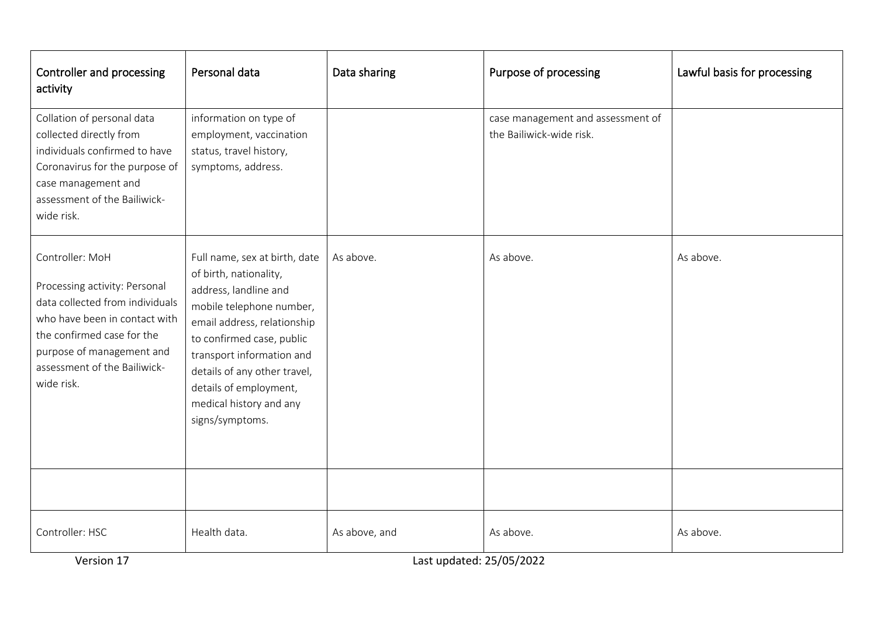| Controller and processing<br>activity                                                                                                                                                                                         | Personal data                                                                                                                                                                                                                                                                                                 | Data sharing                              | Purpose of processing                                         | Lawful basis for processing |
|-------------------------------------------------------------------------------------------------------------------------------------------------------------------------------------------------------------------------------|---------------------------------------------------------------------------------------------------------------------------------------------------------------------------------------------------------------------------------------------------------------------------------------------------------------|-------------------------------------------|---------------------------------------------------------------|-----------------------------|
| Collation of personal data<br>collected directly from<br>individuals confirmed to have<br>Coronavirus for the purpose of<br>case management and<br>assessment of the Bailiwick-<br>wide risk.                                 | information on type of<br>employment, vaccination<br>status, travel history,<br>symptoms, address.                                                                                                                                                                                                            |                                           | case management and assessment of<br>the Bailiwick-wide risk. |                             |
| Controller: MoH<br>Processing activity: Personal<br>data collected from individuals<br>who have been in contact with<br>the confirmed case for the<br>purpose of management and<br>assessment of the Bailiwick-<br>wide risk. | Full name, sex at birth, date<br>of birth, nationality,<br>address, landline and<br>mobile telephone number,<br>email address, relationship<br>to confirmed case, public<br>transport information and<br>details of any other travel,<br>details of employment,<br>medical history and any<br>signs/symptoms. | As above.                                 | As above.                                                     | As above.                   |
| Controller: HSC<br>Version 17                                                                                                                                                                                                 | Health data.                                                                                                                                                                                                                                                                                                  | As above, and<br>Last updated: 25/05/2022 | As above.                                                     | As above.                   |